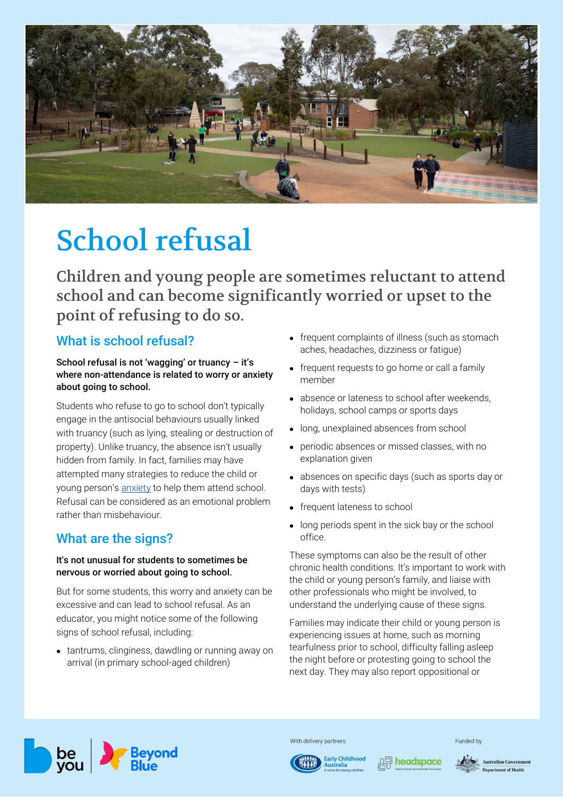

# [School refusal](https://beyou.edu.au/fact-sheets/development/school-refusal)

Children and young people are sometimes reluctant to attend school and can become significantly worried or upset to the point of refusing to do so.

## What is school refusal?

## School refusal is not 'wagging' or truancy – it's where non-attendance is related to worry or anxiety about going to school.

Students who refuse to go to school don't typically engage in the antisocial behaviours usually linked with truancy (such as lying, stealing or destruction of property). Unlike truancy, the absence isn't usually hidden from family. In fact, families may have attempted many strategies to reduce the child or young person's [anxiety](https://beyou.edu.au/fact-sheets/mental-health-issues-and-conditions/anxiety) to help them attend school. Refusal can be considered as an emotional problem rather than misbehaviour.

# What are the signs?

### It's not unusual for students to sometimes be nervous or worried about going to school.

But for some students, this worry and anxiety can be excessive and can lead to school refusal. As an educator, you might notice some of the following signs of school refusal, including:

• tantrums, clinginess, dawdling or running away on arrival (in primary school-aged children)

- frequent complaints of illness (such as stomach aches, headaches, dizziness or fatigue)
- frequent requests to go home or call a family member
- absence or lateness to school after weekends, holidays, school camps or sports days
- long, unexplained absences from school
- periodic absences or missed classes, with no explanation given
- absences on specific days (such as sports day or days with tests)
- frequent lateness to school
- long periods spent in the sick bay or the school office.

These symptoms can also be the result of other chronic health conditions. It's important to work with the child or young person's family, and liaise with other professionals who might be involved, to understand the underlying cause of these signs.

Families may indicate their child or young person is experiencing issues at home, such as morning tearfulness prior to school, difficulty falling asleep the night before or protesting going to school the next day. They may also report oppositional or



With delivery partners

**Early Childhood** 



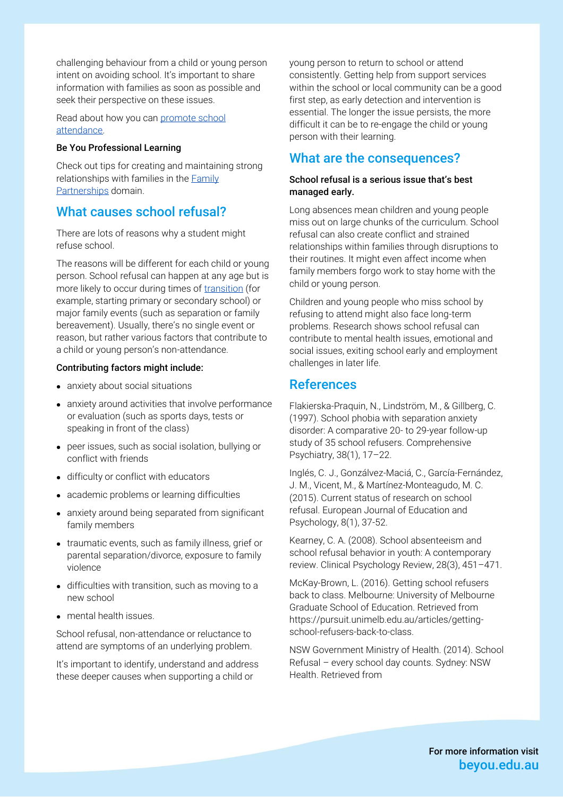challenging behaviour from a child or young person intent on avoiding school. It's important to share information with families as soon as possible and seek their perspective on these issues.

Read about how you can [promote school](https://beyou.edu.au/fact-sheets/development/promoting-school-attendance)  [attendance.](https://beyou.edu.au/fact-sheets/development/promoting-school-attendance)

#### Be You Professional Learning

Check out tips for creating and maintaining strong relationships with families in the [Family](https://beyou.edu.au/learn/family-partnerships)  [Partnerships](https://beyou.edu.au/learn/family-partnerships) domain.

## What causes school refusal?

There are lots of reasons why a student might refuse school.

The reasons will be different for each child or young person. School refusal can happen at any age but is more likely to occur during times of [transition](https://beyou.edu.au/fact-sheets/development/transitions) (for example, starting primary or secondary school) or major family events (such as separation or family bereavement). Usually, there's no single event or reason, but rather various factors that contribute to a child or young person's non-attendance.

#### Contributing factors might include:

- anxiety about social situations
- anxiety around activities that involve performance or evaluation (such as sports days, tests or speaking in front of the class)
- peer issues, such as social isolation, bullying or conflict with friends
- difficulty or conflict with educators
- academic problems or learning difficulties
- anxiety around being separated from significant family members
- traumatic events, such as family illness, grief or parental separation/divorce, exposure to family violence
- difficulties with transition, such as moving to a new school
- mental health issues.

School refusal, non-attendance or reluctance to attend are symptoms of an underlying problem.

It's important to identify, understand and address these deeper causes when supporting a child or

young person to return to school or attend consistently. Getting help from support services within the school or local community can be a good first step, as early detection and intervention is essential. The longer the issue persists, the more difficult it can be to re-engage the child or young person with their learning.

## What are the consequences?

#### School refusal is a serious issue that's best managed early.

Long absences mean children and young people miss out on large chunks of the curriculum. School refusal can also create conflict and strained relationships within families through disruptions to their routines. It might even affect income when family members forgo work to stay home with the child or young person.

Children and young people who miss school by refusing to attend might also face long-term problems. Research shows school refusal can contribute to mental health issues, emotional and social issues, exiting school early and employment challenges in later life.

## References

Flakierska-Praquin, N., Lindström, M., & Gillberg, C. (1997). School phobia with separation anxiety disorder: A comparative 20- to 29-year follow-up study of 35 school refusers. Comprehensive Psychiatry, 38(1), 17–22.

Inglés, C. J., Gonzálvez-Maciá, C., García-Fernández, J. M., Vicent, M., & Martínez-Monteagudo, M. C. (2015). Current status of research on school refusal. European Journal of Education and Psychology, 8(1), 37-52.

Kearney, C. A. (2008). School absenteeism and school refusal behavior in youth: A contemporary review. Clinical Psychology Review, 28(3), 451–471.

McKay-Brown, L. (2016). Getting school refusers back to class. Melbourne: University of Melbourne Graduate School of Education. Retrieved from https://pursuit.unimelb.edu.au/articles/gettingschool-refusers-back-to-class.

NSW Government Ministry of Health. (2014). School Refusal – every school day counts. Sydney: NSW Health. Retrieved from

> For more information visit beyou.edu.au